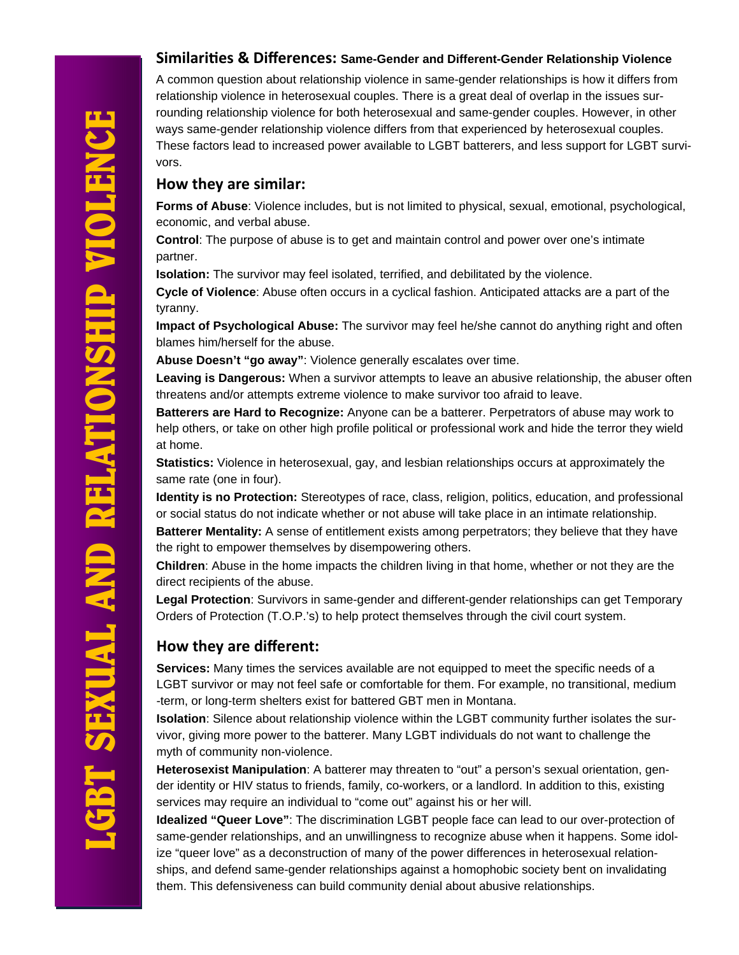#### **SimilariƟes & Differences: Same-Gender and Different-Gender Relationship Violence**

A common question about relationship violence in same-gender relationships is how it differs from relationship violence in heterosexual couples. There is a great deal of overlap in the issues surrounding relationship violence for both heterosexual and same-gender couples. However, in other ways same-gender relationship violence differs from that experienced by heterosexual couples. These factors lead to increased power available to LGBT batterers, and less support for LGBT survivors.

#### **How they are similar:**

**Forms of Abuse**: Violence includes, but is not limited to physical, sexual, emotional, psychological, economic, and verbal abuse.

**Control**: The purpose of abuse is to get and maintain control and power over one's intimate partner.

**Isolation:** The survivor may feel isolated, terrified, and debilitated by the violence.

**Cycle of Violence**: Abuse often occurs in a cyclical fashion. Anticipated attacks are a part of the tyranny.

**Impact of Psychological Abuse:** The survivor may feel he/she cannot do anything right and often blames him/herself for the abuse.

**Abuse Doesn't "go away"**: Violence generally escalates over time.

**Leaving is Dangerous:** When a survivor attempts to leave an abusive relationship, the abuser often threatens and/or attempts extreme violence to make survivor too afraid to leave.

**Batterers are Hard to Recognize:** Anyone can be a batterer. Perpetrators of abuse may work to help others, or take on other high profile political or professional work and hide the terror they wield at home.

**Statistics:** Violence in heterosexual, gay, and lesbian relationships occurs at approximately the same rate (one in four).

**Identity is no Protection:** Stereotypes of race, class, religion, politics, education, and professional or social status do not indicate whether or not abuse will take place in an intimate relationship.

**Batterer Mentality:** A sense of entitlement exists among perpetrators; they believe that they have the right to empower themselves by disempowering others.

**Children**: Abuse in the home impacts the children living in that home, whether or not they are the direct recipients of the abuse.

**Legal Protection**: Survivors in same-gender and different-gender relationships can get Temporary Orders of Protection (T.O.P.'s) to help protect themselves through the civil court system.

## **How they are different:**

**Services:** Many times the services available are not equipped to meet the specific needs of a LGBT survivor or may not feel safe or comfortable for them. For example, no transitional, medium -term, or long-term shelters exist for battered GBT men in Montana.

**Isolation**: Silence about relationship violence within the LGBT community further isolates the survivor, giving more power to the batterer. Many LGBT individuals do not want to challenge the myth of community non-violence.

**Heterosexist Manipulation**: A batterer may threaten to "out" a person's sexual orientation, gender identity or HIV status to friends, family, co-workers, or a landlord. In addition to this, existing services may require an individual to "come out" against his or her will.

**Idealized "Queer Love"**: The discrimination LGBT people face can lead to our over-protection of same-gender relationships, and an unwillingness to recognize abuse when it happens. Some idolize "queer love" as a deconstruction of many of the power differences in heterosexual relationships, and defend same-gender relationships against a homophobic society bent on invalidating them. This defensiveness can build community denial about abusive relationships.